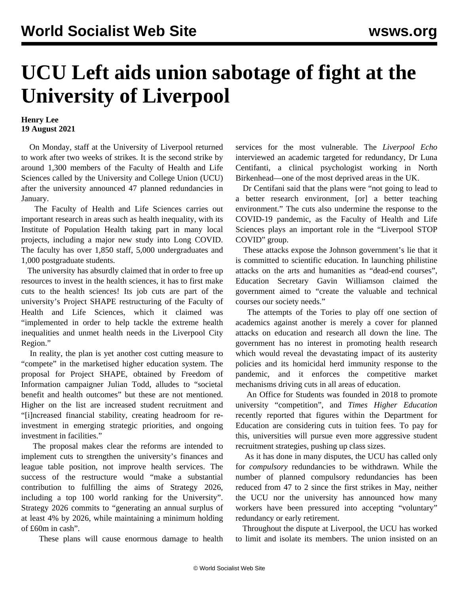## **UCU Left aids union sabotage of fight at the University of Liverpool**

## **Henry Lee 19 August 2021**

 On Monday, staff at the University of Liverpool returned to work after two weeks of strikes. It is the second strike by around 1,300 members of the Faculty of Health and Life Sciences called by the University and College Union (UCU) after the university announced 47 planned redundancies in January.

 The Faculty of Health and Life Sciences carries out important research in areas such as health inequality, with its Institute of Population Health taking part in many local projects, including a major new study into Long COVID. The faculty has over 1,850 staff, 5,000 undergraduates and 1,000 postgraduate students.

 The university has absurdly claimed that in order to free up resources to invest in the health sciences, it has to first make cuts to the health sciences! Its job cuts are part of the university's Project SHAPE restructuring of the Faculty of Health and Life Sciences, which it claimed was "implemented in order to help tackle the extreme health inequalities and unmet health needs in the Liverpool City Region."

 In reality, the plan is yet another cost cutting measure to "compete" in the marketised higher education system. The proposal for Project SHAPE, obtained by Freedom of Information campaigner Julian Todd, alludes to "societal benefit and health outcomes" but these are not mentioned. Higher on the list are increased student recruitment and "[i]ncreased financial stability, creating headroom for reinvestment in emerging strategic priorities, and ongoing investment in facilities."

 The proposal makes clear the reforms are intended to implement cuts to strengthen the university's finances and league table position, not improve health services. The success of the restructure would "make a substantial contribution to fulfilling the aims of Strategy 2026, including a top 100 world ranking for the University". Strategy 2026 commits to "generating an annual surplus of at least 4% by 2026, while maintaining a minimum holding of £60m in cash".

These plans will cause enormous damage to health

services for the most vulnerable. The *Liverpool Echo* interviewed an academic targeted for redundancy, Dr Luna Centifanti, a clinical psychologist working in North Birkenhead—one of the most deprived areas in the UK.

 Dr Centifani said that the plans were "not going to lead to a better research environment, [or] a better teaching environment." The cuts also undermine the response to the COVID-19 pandemic, as the Faculty of Health and Life Sciences plays an important role in the "Liverpool STOP COVID" group.

 These attacks expose the Johnson government's lie that it is committed to scientific education. In launching philistine attacks on the arts and humanities as "dead-end courses", Education Secretary Gavin Williamson claimed the government aimed to "create the valuable and technical courses our society needs."

 The attempts of the Tories to play off one section of academics against another is merely a cover for planned attacks on education and research all down the line. The government has no interest in promoting health research which would reveal the devastating impact of its austerity policies and its homicidal herd immunity response to the pandemic, and it enforces the competitive market mechanisms driving cuts in all areas of education.

 An Office for Students was founded in 2018 to promote university "competition", and *Times Higher Education* recently reported that figures within the Department for Education are considering cuts in tuition fees. To pay for this, universities will pursue even more aggressive student recruitment strategies, pushing up class sizes.

 As it has done in many disputes, the UCU has called only for *compulsory* redundancies to be withdrawn. While the number of planned compulsory redundancies has been reduced from 47 to 2 since the first strikes in May, neither the UCU nor the university has announced how many workers have been pressured into accepting "voluntary" redundancy or early retirement.

 Throughout the dispute at Liverpool, the UCU has worked to limit and isolate its members. The union insisted on an